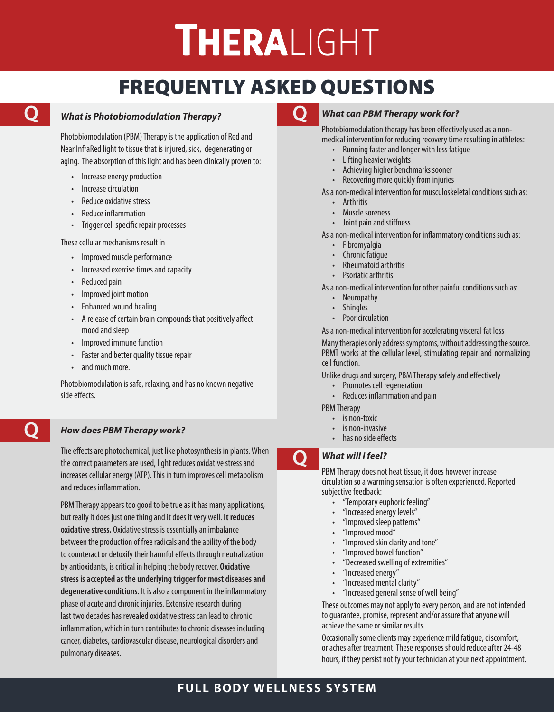# **THERALIGHT**

# FREQUENTLY ASKED QUESTIONS

## *What is Photobiomodulation Therapy?* **Q Q**

Photobiomodulation (PBM) Therapy is the application of Red and Near InfraRed light to tissue that is injured, sick, degenerating or aging. The absorption of this light and has been clinically proven to:

- Increase energy production
- Increase circulation
- Reduce oxidative stress
- Reduce inflammation
- Trigger cell specific repair processes

These cellular mechanisms result in

- Improved muscle performance
- Increased exercise times and capacity
- Reduced pain
- Improved joint motion
- Enhanced wound healing
- A release of certain brain compounds that positively affect mood and sleep
- Improved immune function
- Faster and better quality tissue repair
- and much more.

**Q**

Photobiomodulation is safe, relaxing, and has no known negative side effects.

## *How does PBM Therapy work?*

The effects are photochemical, just like photosynthesis in plants. When the correct parameters are used, light reduces oxidative stress and increases cellular energy (ATP). This in turn improves cell metabolism and reduces inflammation.

PBM Therapy appears too good to be true as it has many applications, but really it does just one thing and it does it very well. **It reduces oxidative stress.** Oxidative stress is essentially an imbalance between the production of free radicals and the ability of the body to counteract or detoxify their harmful effects through neutralization by antioxidants, is critical in helping the body recover. **Oxidative stress is accepted as the underlying trigger for most diseases and degenerative conditions.** It is also a component in the inflammatory phase of acute and chronic injuries. Extensive research during last two decades has revealed oxidative stress can lead to chronic inflammation, which in turn contributes to chronic diseases including cancer, diabetes, cardiovascular disease, neurological disorders and pulmonary diseases.



## *What can PBM Therapy work for?*

Photobiomodulation therapy has been effectively used as a nonmedical intervention for reducing recovery time resulting in athletes:

- Running faster and longer with less fatigue
- Lifting heavier weights
- Achieving higher benchmarks sooner
- Recovering more quickly from injuries

As a non-medical intervention for musculoskeletal conditions such as:

- **Arthritis**
- Muscle soreness
- Joint pain and stiffness

As a non-medical intervention for inflammatory conditions such as:

- Fibromyalgia
- Chronic fatigue
- Rheumatoid arthritis
- Psoriatic arthritis

As a non-medical intervention for other painful conditions such as:

- **Neuropathy**
- **Shingles**
- Poor circulation

As a non-medical intervention for accelerating visceral fat loss

Many therapies only address symptoms, without addressing the source. PBMT works at the cellular level, stimulating repair and normalizing cell function.

Unlike drugs and surgery, PBM Therapy safely and effectively

- Promotes cell regeneration
- Reduces inflammation and pain

PBM Therapy

- is non-toxic
- is non-invasive
- has no side effects

## *What will I feel?*

**Q**

PBM Therapy does not heat tissue, it does however increase circulation so a warming sensation is often experienced. Reported subjective feedback:

- "Temporary euphoric feeling"
- "Increased energy levels"
- "Improved sleep patterns"
- "Improved mood"
- "Improved skin clarity and tone"
- "Improved bowel function"
- "Decreased swelling of extremities"
- "Increased energy"
- "Increased mental clarity"
- "Increased general sense of well being"

These outcomes may not apply to every person, and are not intended to guarantee, promise, represent and/or assure that anyone will achieve the same or similar results.

Occasionally some clients may experience mild fatigue, discomfort, or aches after treatment. These responses should reduce after 24-48 hours, if they persist notify your technician at your next appointment.

## **FULL BODY WELLNESS SYSTEM**